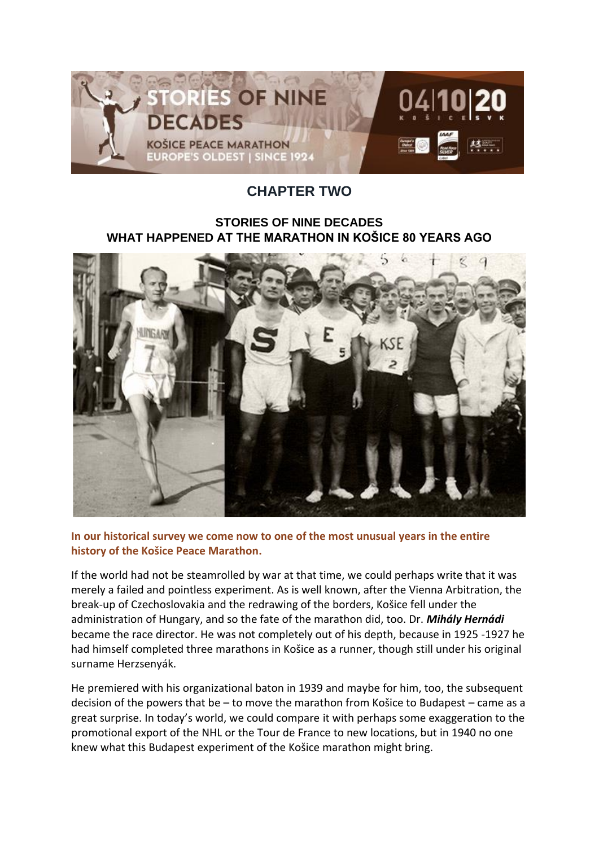

## **CHAPTER TWO**

## **STORIES OF NINE DECADES WHAT HAPPENED AT THE MARATHON IN KOŠICE 80 YEARS AGO**



**In our historical survey we come now to one of the most unusual years in the entire history of the Košice Peace Marathon.**

If the world had not be steamrolled by war at that time, we could perhaps write that it was merely a failed and pointless experiment. As is well known, after the Vienna Arbitration, the break-up of Czechoslovakia and the redrawing of the borders, Košice fell under the administration of Hungary, and so the fate of the marathon did, too. Dr. *Mihály Hernádi*  became the race director. He was not completely out of his depth, because in 1925 -1927 he had himself completed three marathons in Košice as a runner, though still under his original surname Herzsenyák.

He premiered with his organizational baton in 1939 and maybe for him, too, the subsequent decision of the powers that be – to move the marathon from Košice to Budapest – came as a great surprise. In today's world, we could compare it with perhaps some exaggeration to the promotional export of the NHL or the Tour de France to new locations, but in 1940 no one knew what this Budapest experiment of the Košice marathon might bring.